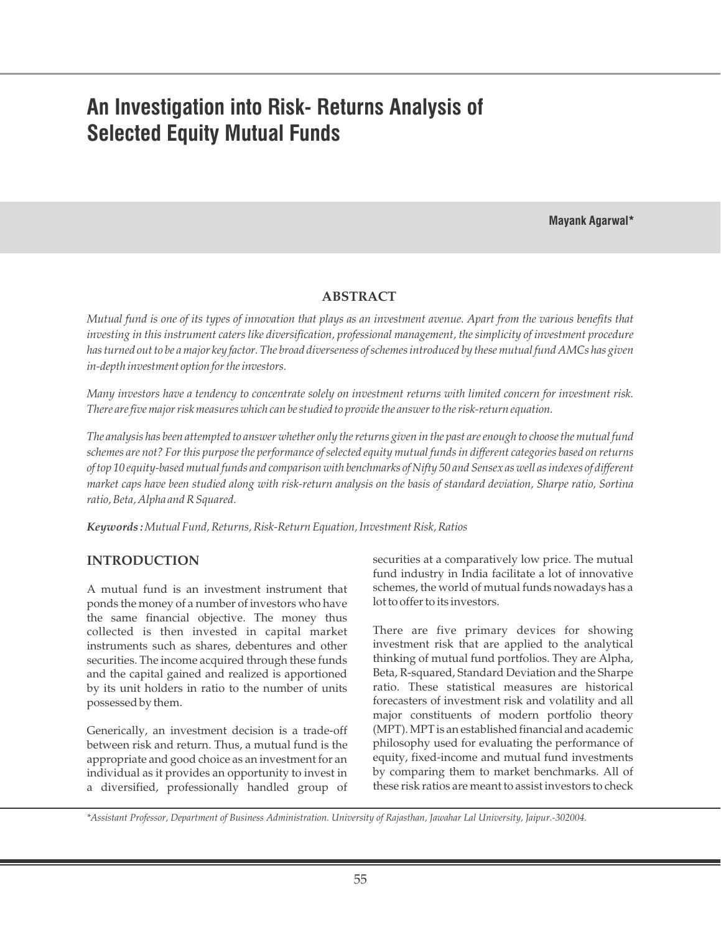# **An Investigation into Risk- Returns Analysis of Selected Equity Mutual Funds**

**Mayank Agarwal\***

# **ABSTRACT**

*Mutual fund is one of its types of innovation that plays as an investment avenue. Apart from the various benefits that investing in this instrument caters like diversification, professional management, the simplicity of investment procedure has turned out to be a major key factor. The broad diverseness of schemes introduced by these mutual fund AMCs has given in-depth investment option for the investors.* 

*Many investors have a tendency to concentrate solely on investment returns with limited concern for investment risk. There are five major risk measures which can be studied to provide the answer to the risk-return equation.*

*The analysis has been attempted to answer whether only the returns given in the past are enough to choose the mutual fund schemes are not? For this purpose the performance of selected equity mutual funds in different categories based on returns of top 10 equity-based mutual funds and comparison with benchmarks of Nifty 50 and Sensex as well as indexes of different market caps have been studied along with risk-return analysis on the basis of standard deviation, Sharpe ratio, Sortina ratio, Beta, Alpha and R Squared.*

*Keywords :Mutual Fund, Returns, Risk-Return Equation, Investment Risk, Ratios*

# **INTRODUCTION**

A mutual fund is an investment instrument that ponds the money of a number of investors who have the same financial objective. The money thus collected is then invested in capital market instruments such as shares, debentures and other securities. The income acquired through these funds and the capital gained and realized is apportioned by its unit holders in ratio to the number of units possessed by them.

Generically, an investment decision is a trade-off between risk and return. Thus, a mutual fund is the appropriate and good choice as an investment for an individual as it provides an opportunity to invest in a diversified, professionally handled group of

securities at a comparatively low price. The mutual fund industry in India facilitate a lot of innovative schemes, the world of mutual funds nowadays has a lot to offer to its investors.

There are five primary devices for showing investment risk that are applied to the analytical thinking of mutual fund portfolios. They are Alpha, Beta, R-squared, Standard Deviation and the Sharpe ratio. These statistical measures are historical forecasters of investment risk and volatility and all major constituents of modern portfolio theory (MPT). MPT is an established financial and academic philosophy used for evaluating the performance of equity, fixed-income and mutual fund investments by comparing them to market benchmarks. All of these risk ratios are meant to assist investors to check

*\*Assistant Professor, Department of Business Administration. University of Rajasthan, Jawahar Lal University, Jaipur.-302004.*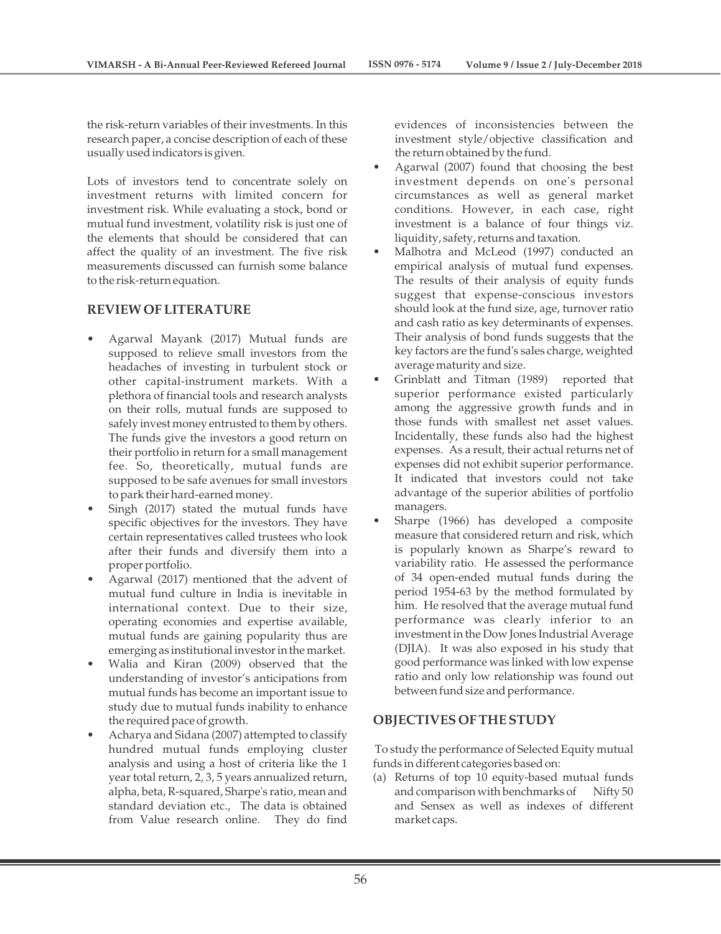the risk-return variables of their investments. In this research paper, a concise description of each of these usually used indicators is given.

Lots of investors tend to concentrate solely on investment returns with limited concern for investment risk. While evaluating a stock, bond or mutual fund investment, volatility risk is just one of the elements that should be considered that can affect the quality of an investment. The five risk measurements discussed can furnish some balance to the risk-return equation.

## **REVIEW OF LITERATURE**

- Agarwal Mayank (2017) Mutual funds are supposed to relieve small investors from the headaches of investing in turbulent stock or other capital-instrument markets. With a plethora of financial tools and research analysts on their rolls, mutual funds are supposed to safely invest money entrusted to them by others. The funds give the investors a good return on their portfolio in return for a small management fee. So, theoretically, mutual funds are supposed to be safe avenues for small investors to park their hard-earned money.
- Singh (2017) stated the mutual funds have specific objectives for the investors. They have certain representatives called trustees who look after their funds and diversify them into a proper portfolio.
- Agarwal (2017) mentioned that the advent of mutual fund culture in India is inevitable in international context. Due to their size, operating economies and expertise available, mutual funds are gaining popularity thus are emerging as institutional investor in the market.
- Walia and Kiran (2009) observed that the understanding of investor's anticipations from mutual funds has become an important issue to study due to mutual funds inability to enhance the required pace of growth.
- Acharya and Sidana (2007) attempted to classify hundred mutual funds employing cluster analysis and using a host of criteria like the 1 year total return, 2, 3, 5 years annualized return, alpha, beta, R-squared, Sharpe's ratio, mean and standard deviation etc., The data is obtained from Value research online. They do find

evidences of inconsistencies between the investment style/objective classification and the return obtained by the fund.

- Agarwal (2007) found that choosing the best investment depends on one's personal circumstances as well as general market conditions. However, in each case, right investment is a balance of four things viz. liquidity, safety, returns and taxation.
- Malhotra and McLeod (1997) conducted an empirical analysis of mutual fund expenses. The results of their analysis of equity funds suggest that expense-conscious investors should look at the fund size, age, turnover ratio and cash ratio as key determinants of expenses. Their analysis of bond funds suggests that the key factors are the fund's sales charge, weighted average maturity and size.
- Grinblatt and Titman (1989) reported that superior performance existed particularly among the aggressive growth funds and in those funds with smallest net asset values. Incidentally, these funds also had the highest expenses. As a result, their actual returns net of expenses did not exhibit superior performance. It indicated that investors could not take advantage of the superior abilities of portfolio managers.
- Sharpe (1966) has developed a composite measure that considered return and risk, which is popularly known as Sharpe's reward to variability ratio. He assessed the performance of 34 open-ended mutual funds during the period 1954-63 by the method formulated by him. He resolved that the average mutual fund performance was clearly inferior to an investment in the Dow Jones Industrial Average (DJIA). It was also exposed in his study that good performance was linked with low expense ratio and only low relationship was found out between fund size and performance.

# **OBJECTIVES OF THE STUDY**

To study the performance of Selected Equity mutual funds in different categories based on:

(a) Returns of top 10 equity-based mutual funds and comparison with benchmarks of Nifty 50 and Sensex as well as indexes of different market caps.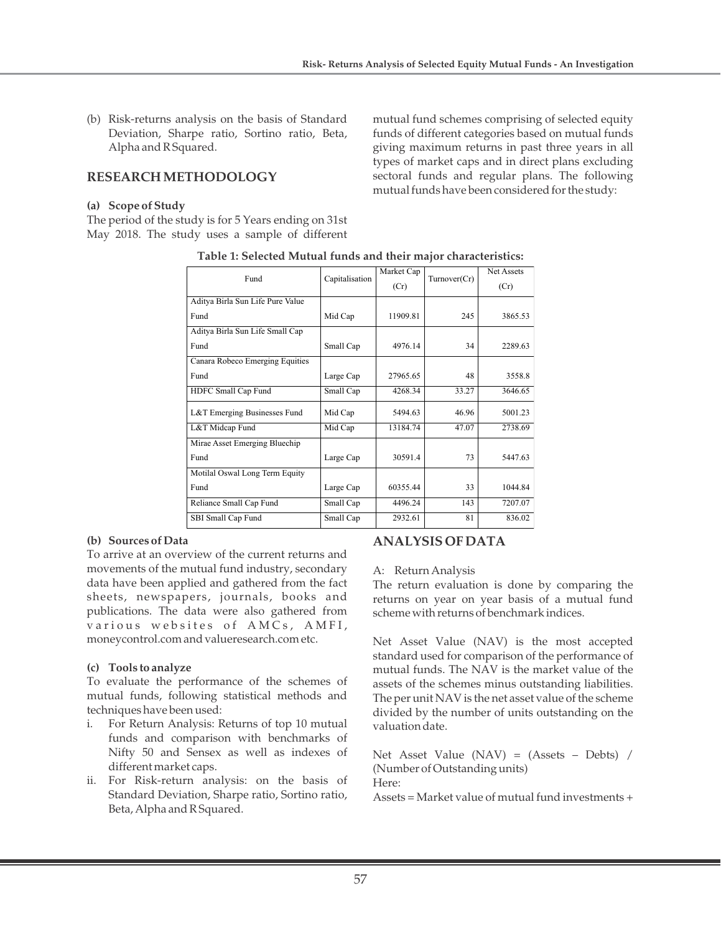(b) Risk-returns analysis on the basis of Standard Deviation, Sharpe ratio, Sortino ratio, Beta, Alpha and R Squared.

# **RESEARCH METHODOLOGY**

## **(a) Scope of Study**

The period of the study is for 5 Years ending on 31st May 2018. The study uses a sample of different mutual fund schemes comprising of selected equity funds of different categories based on mutual funds giving maximum returns in past three years in all types of market caps and in direct plans excluding sectoral funds and regular plans. The following mutual funds have been considered for the study:

| Fund                             |                | Market Cap |              | <b>Net Assets</b> |
|----------------------------------|----------------|------------|--------------|-------------------|
|                                  | Capitalisation | (Cr)       | Turnover(Cr) | (Cr)              |
| Aditya Birla Sun Life Pure Value |                |            |              |                   |
| Fund                             | Mid Cap        | 11909.81   | 245          | 3865.53           |
| Aditya Birla Sun Life Small Cap  |                |            |              |                   |
| Fund                             | Small Cap      | 4976.14    | 34           | 2289.63           |
| Canara Robeco Emerging Equities  |                |            |              |                   |
| Fund                             | Large Cap      | 27965.65   | 48           | 3558.8            |
| HDFC Small Cap Fund              | Small Cap      | 4268.34    | 33.27        | 3646.65           |
| L&T Emerging Businesses Fund     | Mid Cap        | 5494.63    | 46.96        | 5001.23           |
| L&T Midcap Fund                  | Mid Cap        | 13184.74   | 47.07        | 2738.69           |
| Mirae Asset Emerging Bluechip    |                |            |              |                   |
| Fund                             | Large Cap      | 30591.4    | 73           | 5447.63           |
| Motilal Oswal Long Term Equity   |                |            |              |                   |
| Fund                             | Large Cap      | 60355.44   | 33           | 1044.84           |
| Reliance Small Cap Fund          | Small Cap      | 4496.24    | 143          | 7207.07           |
| SBI Small Cap Fund               | Small Cap      | 2932.61    | 81           | 836.02            |

**Table 1: Selected Mutual funds and their major characteristics:**

#### **(b) Sources of Data**

To arrive at an overview of the current returns and movements of the mutual fund industry, secondary data have been applied and gathered from the fact sheets, newspapers, journals, books and publications. The data were also gathered from various websites of AMCs, AMFI, moneycontrol.com and valueresearch.com etc.

# **(c) Tools to analyze**

To evaluate the performance of the schemes of mutual funds, following statistical methods and techniques have been used:

- i. For Return Analysis: Returns of top 10 mutual funds and comparison with benchmarks of Nifty 50 and Sensex as well as indexes of different market caps.
- ii. For Risk-return analysis: on the basis of Standard Deviation, Sharpe ratio, Sortino ratio, Beta, Alpha and R Squared.

# **ANALYSIS OF DATA**

A: Return Analysis

The return evaluation is done by comparing the returns on year on year basis of a mutual fund scheme with returns of benchmark indices.

Net Asset Value (NAV) is the most accepted standard used for comparison of the performance of mutual funds. The NAV is the market value of the assets of the schemes minus outstanding liabilities. The per unit NAV is the net asset value of the scheme divided by the number of units outstanding on the valuation date.

Net Asset Value (NAV) = (Assets – Debts) / (Number of Outstanding units) Here:

Assets = Market value of mutual fund investments +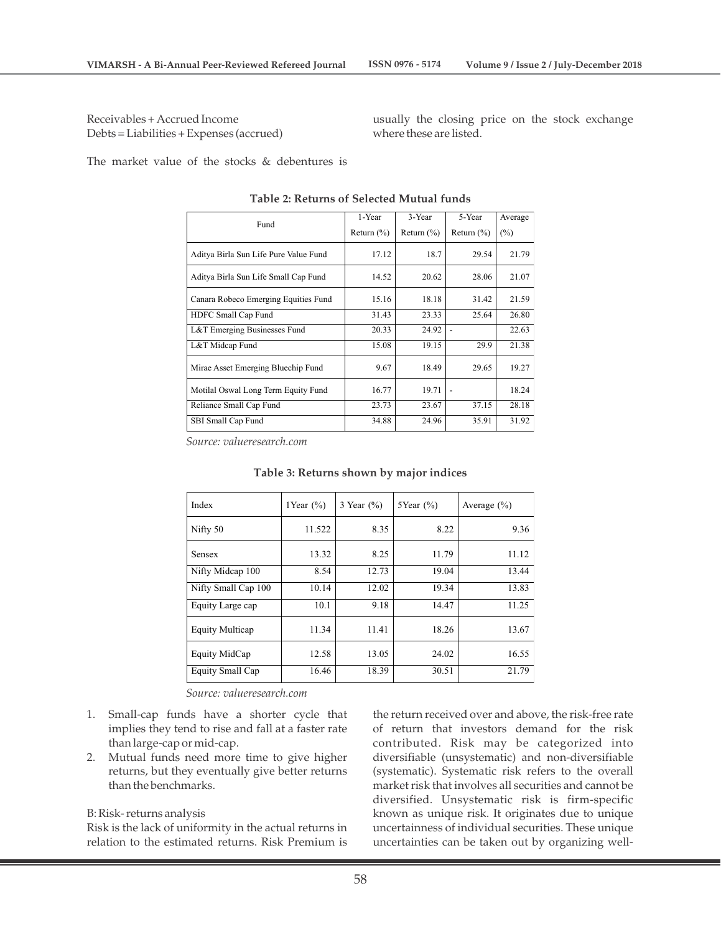Receivables + Accrued Income Debts = Liabilities + Expenses (accrued) usually the closing price on the stock exchange where these are listed.

The market value of the stocks & debentures is

| Fund                                  | 1-Year         | 3-Year         | 5-Year         | Average |
|---------------------------------------|----------------|----------------|----------------|---------|
|                                       | Return $(\% )$ | Return $(\% )$ | Return $(\% )$ | $(\%)$  |
| Aditya Birla Sun Life Pure Value Fund | 17.12          | 18.7           | 29.54          | 21.79   |
| Aditya Birla Sun Life Small Cap Fund  | 14.52          | 20.62          | 28.06          | 21.07   |
| Canara Robeco Emerging Equities Fund  | 15.16          | 18.18          | 31.42          | 21.59   |
| HDFC Small Cap Fund                   | 31.43          | 23.33          | 25.64          | 26.80   |
| L&T Emerging Businesses Fund          | 20.33          | 24.92          |                | 22.63   |
| L&T Midcap Fund                       | 15.08          | 19.15          | 29.9           | 21.38   |
| Mirae Asset Emerging Bluechip Fund    | 9.67           | 18.49          | 29.65          | 19.27   |
| Motilal Oswal Long Term Equity Fund   | 16.77          | 19.71          |                | 18.24   |
| Reliance Small Cap Fund               | 23.73          | 23.67          | 37.15          | 28.18   |
| SBI Small Cap Fund                    | 34.88          | 24.96          | 35.91          | 31.92   |

|  |  |  |  | Table 2: Returns of Selected Mutual funds |  |  |
|--|--|--|--|-------------------------------------------|--|--|
|--|--|--|--|-------------------------------------------|--|--|

*Source: valueresearch.com*

| Index                  | 1 Year $(\% )$ | 3 Year $(\% )$ | 5Year $(\% )$ | Average $(\% )$ |
|------------------------|----------------|----------------|---------------|-----------------|
| Nifty 50               | 11.522         | 8.35           | 8.22          | 9.36            |
| <b>Sensex</b>          | 13.32          | 8.25           | 11.79         | 11.12           |
| Nifty Midcap 100       | 8.54           | 12.73          | 19.04         | 13.44           |
| Nifty Small Cap 100    | 10.14          | 12.02          | 19.34         | 13.83           |
| Equity Large cap       | 10.1           | 9.18           | 14.47         | 11.25           |
| <b>Equity Multicap</b> | 11.34          | 11.41          | 18.26         | 13.67           |
| Equity MidCap          | 12.58          | 13.05          | 24.02         | 16.55           |
| Equity Small Cap       | 16.46          | 18.39          | 30.51         | 21.79           |

#### **Table 3: Returns shown by major indices**

*Source: valueresearch.com*

- 1. Small-cap funds have a shorter cycle that implies they tend to rise and fall at a faster rate than large-cap or mid-cap.
- 2. Mutual funds need more time to give higher returns, but they eventually give better returns than the benchmarks.

#### B: Risk- returns analysis

Risk is the lack of uniformity in the actual returns in relation to the estimated returns. Risk Premium is the return received over and above, the risk-free rate of return that investors demand for the risk contributed. Risk may be categorized into diversifiable (unsystematic) and non-diversifiable (systematic). Systematic risk refers to the overall market risk that involves all securities and cannot be diversified. Unsystematic risk is firm-specific known as unique risk. It originates due to unique uncertainness of individual securities. These unique uncertainties can be taken out by organizing well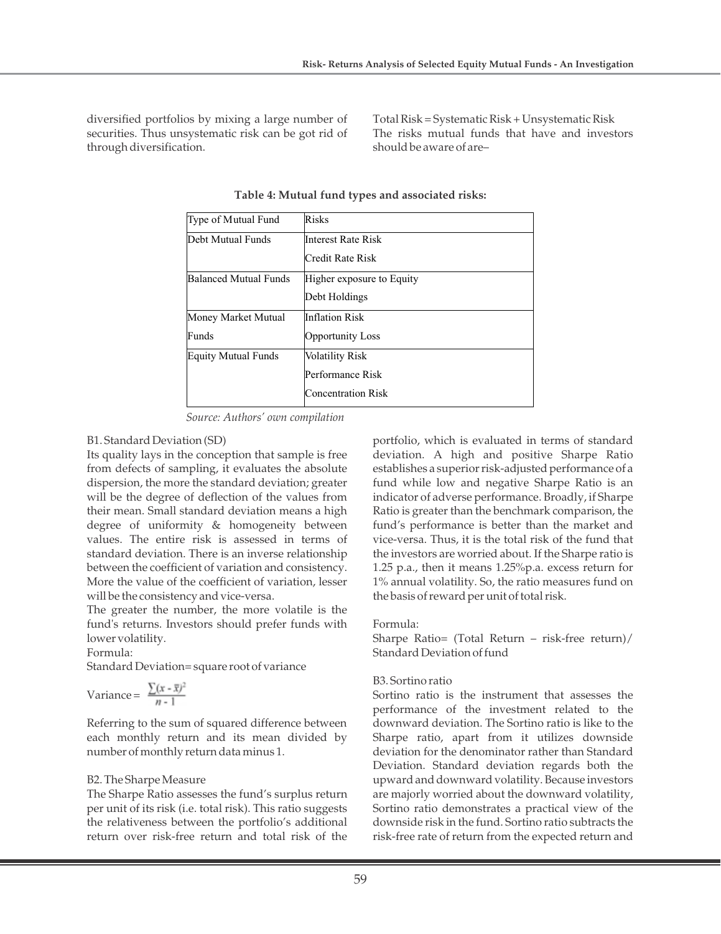diversified portfolios by mixing a large number of securities. Thus unsystematic risk can be got rid of through diversification.

Total Risk = Systematic Risk + Unsystematic Risk The risks mutual funds that have and investors should be aware of are–

| Type of Mutual Fund          | Risks                     |
|------------------------------|---------------------------|
| Debt Mutual Funds            | Interest Rate Risk        |
|                              | Credit Rate Risk          |
| <b>Balanced Mutual Funds</b> | Higher exposure to Equity |
|                              | Debt Holdings             |
| Money Market Mutual          | <b>Inflation Risk</b>     |
| Funds                        | <b>Opportunity Loss</b>   |
| <b>Equity Mutual Funds</b>   | Volatility Risk           |
|                              | Performance Risk          |
|                              | Concentration Risk        |

**Table 4: Mutual fund types and associated risks:**

*Source: Authors' own compilation*

## B1. Standard Deviation (SD)

Its quality lays in the conception that sample is free from defects of sampling, it evaluates the absolute dispersion, the more the standard deviation; greater will be the degree of deflection of the values from their mean. Small standard deviation means a high degree of uniformity & homogeneity between values. The entire risk is assessed in terms of standard deviation. There is an inverse relationship between the coefficient of variation and consistency. More the value of the coefficient of variation, lesser will be the consistency and vice-versa.

The greater the number, the more volatile is the fund's returns. Investors should prefer funds with lower volatility.

## Formula:

Standard Deviation= square root of variance

Variance =  $\frac{\sum (x - \overline{x})^2}{n-1}$ 

Referring to the sum of squared difference between each monthly return and its mean divided by number of monthly return data minus 1.

#### B2. The Sharpe Measure

The Sharpe Ratio assesses the fund's surplus return per unit of its risk (i.e. total risk). This ratio suggests the relativeness between the portfolio's additional return over risk-free return and total risk of the portfolio, which is evaluated in terms of standard deviation. A high and positive Sharpe Ratio establishes a superior risk-adjusted performance of a fund while low and negative Sharpe Ratio is an indicator of adverse performance. Broadly, if Sharpe Ratio is greater than the benchmark comparison, the fund's performance is better than the market and vice-versa. Thus, it is the total risk of the fund that the investors are worried about. If the Sharpe ratio is 1.25 p.a., then it means 1.25%p.a. excess return for 1% annual volatility. So, the ratio measures fund on the basis of reward per unit of total risk.

#### Formula:

Sharpe Ratio= (Total Return – risk-free return)/ Standard Deviation of fund

# B3. Sortino ratio

Sortino ratio is the instrument that assesses the performance of the investment related to the downward deviation. The Sortino ratio is like to the Sharpe ratio, apart from it utilizes downside deviation for the denominator rather than Standard Deviation. Standard deviation regards both the upward and downward volatility. Because investors are majorly worried about the downward volatility, Sortino ratio demonstrates a practical view of the downside risk in the fund. Sortino ratio subtracts the risk-free rate of return from the expected return and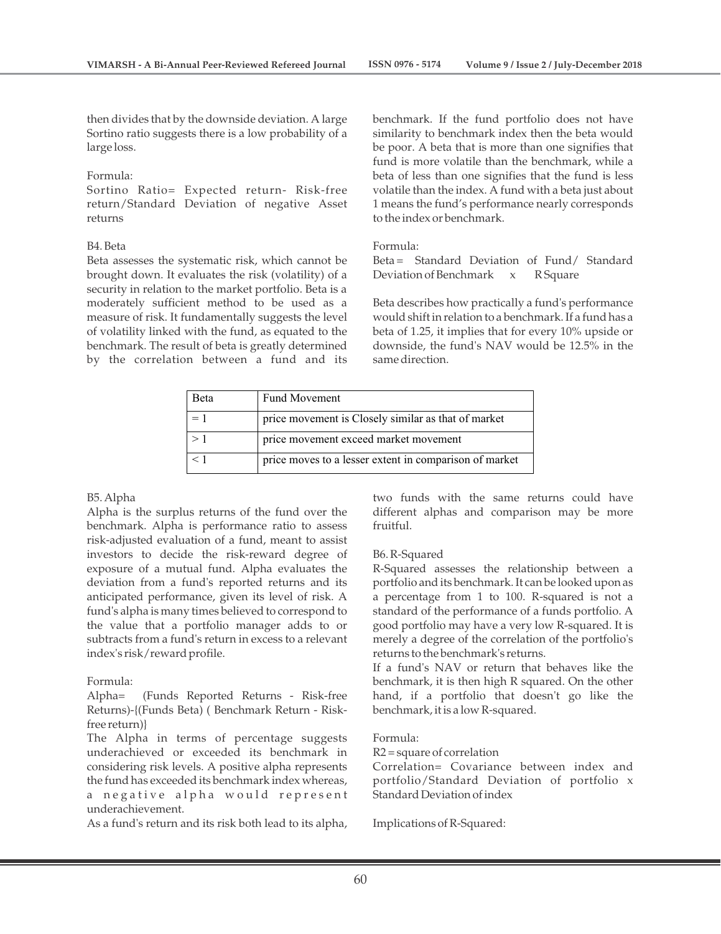then divides that by the downside deviation. A large Sortino ratio suggests there is a low probability of a large loss.

#### Formula:

Sortino Ratio= Expected return- Risk-free return/Standard Deviation of negative Asset returns

#### B4. Beta

Beta assesses the systematic risk, which cannot be brought down. It evaluates the risk (volatility) of a security in relation to the market portfolio. Beta is a moderately sufficient method to be used as a measure of risk. It fundamentally suggests the level of volatility linked with the fund, as equated to the benchmark. The result of beta is greatly determined by the correlation between a fund and its

benchmark. If the fund portfolio does not have similarity to benchmark index then the beta would be poor. A beta that is more than one signifies that fund is more volatile than the benchmark, while a beta of less than one signifies that the fund is less volatile than the index. A fund with a beta just about 1 means the fund's performance nearly corresponds to the index or benchmark.

#### Formula:

Beta = Standard Deviation of Fund/ Standard Deviation of Benchmark x R Square

Beta describes how practically a fund's performance would shift in relation to a benchmark. If a fund has a beta of 1.25, it implies that for every 10% upside or downside, the fund's NAV would be 12.5% in the same direction.

| Beta | Fund Movement                                          |
|------|--------------------------------------------------------|
|      | price movement is Closely similar as that of market    |
|      | price movement exceed market movement                  |
|      | price moves to a lesser extent in comparison of market |

#### B5. Alpha

Alpha is the surplus returns of the fund over the benchmark. Alpha is performance ratio to assess risk-adjusted evaluation of a fund, meant to assist investors to decide the risk-reward degree of exposure of a mutual fund. Alpha evaluates the deviation from a fund's reported returns and its anticipated performance, given its level of risk. A fund's alpha is many times believed to correspond to the value that a portfolio manager adds to or subtracts from a fund's return in excess to a relevant index's risk/reward profile.

#### Formula:

Alpha= (Funds Reported Returns - Risk-free Returns)-{(Funds Beta) ( Benchmark Return - Riskfree return)}

The Alpha in terms of percentage suggests underachieved or exceeded its benchmark in considering risk levels. A positive alpha represents the fund has exceeded its benchmark index whereas, a negative alpha would represent underachievement.

As a fund's return and its risk both lead to its alpha,

two funds with the same returns could have different alphas and comparison may be more fruitful.

#### B6. R-Squared

R-Squared assesses the relationship between a portfolio and its benchmark. It can be looked upon as a percentage from 1 to 100. R-squared is not a standard of the performance of a funds portfolio. A good portfolio may have a very low R-squared. It is merely a degree of the correlation of the portfolio's returns to the benchmark's returns.

If a fund's NAV or return that behaves like the benchmark, it is then high R squared. On the other hand, if a portfolio that doesn't go like the benchmark, it is a low R-squared.

#### Formula:

R2 = square of correlation

Correlation= Covariance between index and portfolio/Standard Deviation of portfolio x Standard Deviation of index

Implications of R-Squared: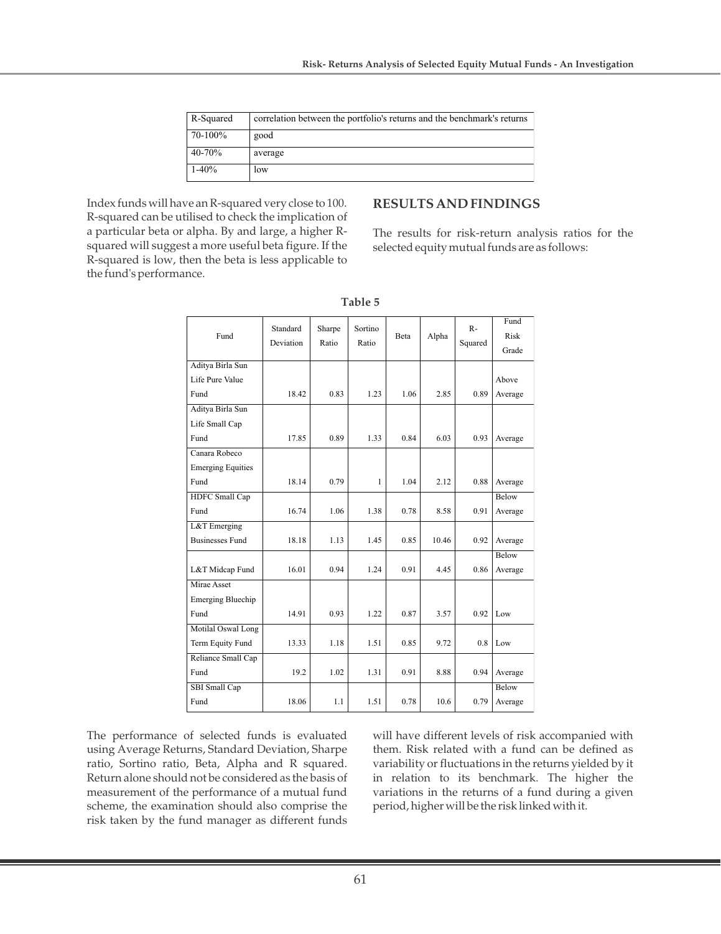| R-Squared | correlation between the portfolio's returns and the benchmark's returns |
|-----------|-------------------------------------------------------------------------|
| 70-100%   | good                                                                    |
| 40-70%    | average                                                                 |
| $1-40%$   | low                                                                     |

Index funds will have an R-squared very close to 100. R-squared can be utilised to check the implication of a particular beta or alpha. By and large, a higher Rsquared will suggest a more useful beta figure. If the R-squared is low, then the beta is less applicable to the fund's performance.

# **RESULTS AND FINDINGS**

The results for risk-return analysis ratios for the selected equity mutual funds are as follows:

| Fund                     | Standard<br>Deviation | Sharpe<br>Ratio | Sortino<br>Ratio | Beta | Alpha | $R -$<br>Squared | Fund<br>Risk |
|--------------------------|-----------------------|-----------------|------------------|------|-------|------------------|--------------|
|                          |                       |                 |                  |      |       |                  | Grade        |
| Aditya Birla Sun         |                       |                 |                  |      |       |                  |              |
| Life Pure Value          |                       |                 |                  |      |       |                  | Above        |
| Fund                     | 18.42                 | 0.83            | 1.23             | 1.06 | 2.85  | 0.89             | Average      |
| Aditya Birla Sun         |                       |                 |                  |      |       |                  |              |
| Life Small Cap           |                       |                 |                  |      |       |                  |              |
| Fund                     | 17.85                 | 0.89            | 1.33             | 0.84 | 6.03  | 0.93             | Average      |
| Canara Robeco            |                       |                 |                  |      |       |                  |              |
| <b>Emerging Equities</b> |                       |                 |                  |      |       |                  |              |
| Fund                     | 18.14                 | 0.79            | 1                | 1.04 | 2.12  | 0.88             | Average      |
| HDFC Small Cap           |                       |                 |                  |      |       |                  | Below        |
| Fund                     | 16.74                 | 1.06            | 1.38             | 0.78 | 8.58  | 0.91             | Average      |
| L&T Emerging             |                       |                 |                  |      |       |                  |              |
| <b>Businesses Fund</b>   | 18.18                 | 1.13            | 1.45             | 0.85 | 10.46 | 0.92             | Average      |
|                          |                       |                 |                  |      |       |                  | Below        |
| L&T Midcap Fund          | 16.01                 | 0.94            | 1.24             | 0.91 | 4.45  | 0.86             | Average      |
| Mirae Asset              |                       |                 |                  |      |       |                  |              |
| <b>Emerging Bluechip</b> |                       |                 |                  |      |       |                  |              |
| Fund                     | 14.91                 | 0.93            | 1.22             | 0.87 | 3.57  | 0.92             | Low          |
| Motilal Oswal Long       |                       |                 |                  |      |       |                  |              |
| Term Equity Fund         | 13.33                 | 1.18            | 1.51             | 0.85 | 9.72  | 0.8              | Low          |
| Reliance Small Cap       |                       |                 |                  |      |       |                  |              |
| Fund                     | 19.2                  | 1.02            | 1.31             | 0.91 | 8.88  | 0.94             | Average      |
| SBI Small Cap            |                       |                 |                  |      |       |                  | Below        |
| Fund                     | 18.06                 | 1.1             | 1.51             | 0.78 | 10.6  | 0.79             | Average      |

The performance of selected funds is evaluated using Average Returns, Standard Deviation, Sharpe ratio, Sortino ratio, Beta, Alpha and R squared. Return alone should not be considered as the basis of measurement of the performance of a mutual fund scheme, the examination should also comprise the risk taken by the fund manager as different funds

will have different levels of risk accompanied with them. Risk related with a fund can be defined as variability or fluctuations in the returns yielded by it in relation to its benchmark. The higher the variations in the returns of a fund during a given period, higher will be the risk linked with it.